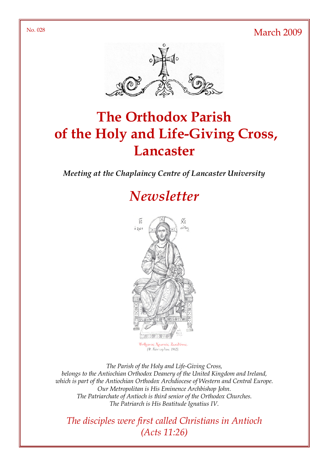No. 028 March 2009



# The Orthodox Parish of the Holy and Life-Giving Cross, **Lancaster**

Meeting at the Chaplaincy Centre of Lancaster University

# **Newsletter**



(Φ. Κόντογλου, 1962).

The Parish of the Holy and Life-Giving Cross, belongs to the Antiochian Orthodox Deanery of the United Kingdom and Ireland, which is part of the Antiochian Orthodox Archdiocese of Western and Central Europe. Our Metropolitan is His Eminence Archbishop John. The Patriarchate of Antioch is third senior of the Orthodox Churches. The Patriarch is His Beatitude Ignatius IV.

The disciples were first called Christians in Antioch (Acts 11:26)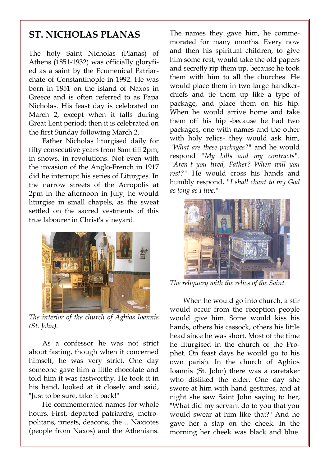### ST. NICHOLAS PLANAS

The holy Saint Nicholas (Planas) of Athens (1851-1932) was officially gloryfied as a saint by the Ecumenical Patriarchate of Constantinople in 1992. He was born in 1851 on the island of Naxos in Greece and is often referred to as Papa Nicholas. His feast day is celebrated on March 2, except when it falls during Great Lent period; then it is celebrated on the first Sunday following March 2.

 Father Nicholas liturgised daily for fifty consecutive years from 8am till 2pm, in snows, in revolutions. Not even with the invasion of the Anglo-French in 1917 did he interrupt his series of Liturgies. In the narrow streets of the Acropolis at 2pm in the afternoon in July, he would liturgise in small chapels, as the sweat settled on the sacred vestments of this true labourer in Christ's vineyard.



The interior of the church of Aghios Ioannis (St. John).

 As a confessor he was not strict about fasting, though when it concerned himself, he was very strict. One day someone gave him a little chocolate and told him it was fastworthy. He took it in his hand, looked at it closely and said, "Just to be sure, take it back!"

 He commemorated names for whole hours. First, departed patriarchs, metropolitans, priests, deacons, the… Naxiotes (people from Naxos) and the Athenians. The names they gave him, he commemorated for many months. Every now and then his spiritual children, to give him some rest, would take the old papers and secretly rip them up, because he took them with him to all the churches. He would place them in two large handkerchiefs and tie them up like a type of package, and place them on his hip. When he would arrive home and take them off his hip -because he had two packages, one with names and the other with holy relics- they would ask him, "What are these packages?" and he would respond "My bills and my contracts". "Aren't you tired, Father? When will you rest?" He would cross his hands and humbly respond, "I shall chant to my God as long as I live."



The reliquary with the relics of the Saint.

 When he would go into church, a stir would occur from the reception people would give him. Some would kiss his hands, others his cassock, others his little head since he was short. Most of the time he liturgised in the church of the Prophet. On feast days he would go to his own parish. In the church of Aghios Ioannis (St. John) there was a caretaker who disliked the elder. One day she swore at him with hand gestures, and at night she saw Saint John saying to her, "What did my servant do to you that you would swear at him like that?" And he gave her a slap on the cheek. In the morning her cheek was black and blue.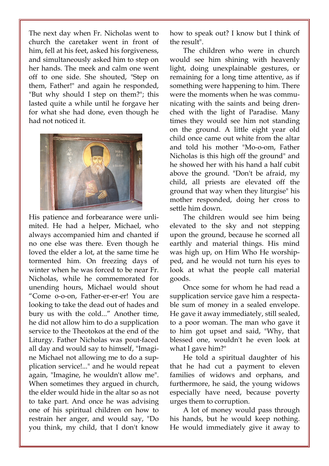The next day when Fr. Nicholas went to church the caretaker went in front of him, fell at his feet, asked his forgiveness, and simultaneously asked him to step on her hands. The meek and calm one went off to one side. She shouted, "Step on them, Father!" and again he responded, "But why should I step on them?"; this lasted quite a while until he forgave her for what she had done, even though he had not noticed it.



His patience and forbearance were unlimited. He had a helper, Michael, who always accompanied him and chanted if no one else was there. Even though he loved the elder a lot, at the same time he tormented him. On freezing days of winter when he was forced to be near Fr. Nicholas, while he commemorated for unending hours, Michael would shout "Come o-o-on, Father-er-er-er! You are looking to take the dead out of hades and bury us with the cold..." Another time, he did not allow him to do a supplication service to the Theotokos at the end of the Liturgy. Father Nicholas was pout-faced all day and would say to himself, "Imagine Michael not allowing me to do a supplication service!..." and he would repeat again, "Imagine, he wouldn't allow me". When sometimes they argued in church, the elder would hide in the altar so as not to take part. And once he was advising one of his spiritual children on how to restrain her anger, and would say, "Do you think, my child, that I don't know how to speak out? I know but I think of the result".

 The children who were in church would see him shining with heavenly light, doing unexplainable gestures, or remaining for a long time attentive, as if something were happening to him. There were the moments when he was communicating with the saints and being drenched with the light of Paradise. Many times they would see him not standing on the ground. A little eight year old child once came out white from the altar and told his mother "Mo-o-om, Father Nicholas is this high off the ground" and he showed her with his hand a half cubit above the ground. "Don't be afraid, my child, all priests are elevated off the ground that way when they liturgise" his mother responded, doing her cross to settle him down.

 The children would see him being elevated to the sky and not stepping upon the ground, because he scorned all earthly and material things. His mind was high up, on Him Who He worshipped, and he would not turn his eyes to look at what the people call material goods.

 Once some for whom he had read a supplication service gave him a respectable sum of money in a sealed envelope. He gave it away immediately, still sealed, to a poor woman. The man who gave it to him got upset and said, "Why, that blessed one, wouldn't he even look at what I gave him?"

 He told a spiritual daughter of his that he had cut a payment to eleven families of widows and orphans, and furthermore, he said, the young widows especially have need, because poverty urges them to corruption.

 A lot of money would pass through his hands, but he would keep nothing. He would immediately give it away to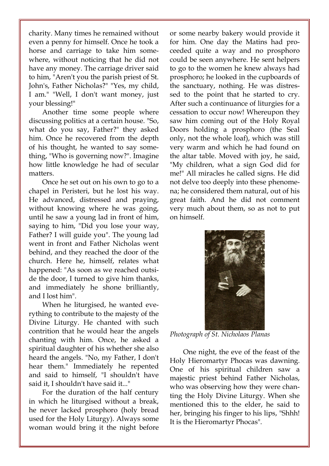charity. Many times he remained without even a penny for himself. Once he took a horse and carriage to take him somewhere, without noticing that he did not have any money. The carriage driver said to him, "Aren't you the parish priest of St. John's, Father Nicholas?" "Yes, my child, I am." "Well, I don't want money, just your blessing!"

 Another time some people where discussing politics at a certain house. "So, what do you say, Father?" they asked him. Once he recovered from the depth of his thought, he wanted to say something, "Who is governing now?". Imagine how little knowledge he had of secular matters.

 Once he set out on his own to go to a chapel in Peristeri, but he lost his way. He advanced, distressed and praying, without knowing where he was going, until he saw a young lad in front of him, saying to him, "Did you lose your way, Father? I will guide you". The young lad went in front and Father Nicholas went behind, and they reached the door of the church. Here he, himself, relates what happened: "As soon as we reached outside the door, I turned to give him thanks, and immediately he shone brilliantly, and I lost him".

 When he liturgised, he wanted everything to contribute to the majesty of the Divine Liturgy. He chanted with such contrition that he would hear the angels chanting with him. Once, he asked a spiritual daughter of his whether she also heard the angels. "No, my Father, I don't hear them." Immediately he repented and said to himself, "I shouldn't have said it, I shouldn't have said it..."

 For the duration of the half century in which he liturgised without a break, he never lacked prosphoro (holy bread used for the Holy Liturgy). Always some woman would bring it the night before or some nearby bakery would provide it for him. One day the Matins had proceeded quite a way and no prosphoro could be seen anywhere. He sent helpers to go to the women he knew always had prosphoro; he looked in the cupboards of the sanctuary, nothing. He was distressed to the point that he started to cry. After such a continuance of liturgies for a cessation to occur now! Whereupon they saw him coming out of the Holy Royal Doors holding a prosphoro (the Seal only, not the whole loaf), which was still very warm and which he had found on the altar table. Moved with joy, he said, "My children, what a sign God did for me!" All miracles he called signs. He did not delve too deeply into these phenomena; he considered them natural, out of his great faith. And he did not comment very much about them, so as not to put on himself.



Photograph of St. Nicholaos Planas

 One night, the eve of the feast of the Holy Hieromartyr Phocas was dawning. One of his spiritual children saw a majestic priest behind Father Nicholas, who was observing how they were chanting the Holy Divine Liturgy. When she mentioned this to the elder, he said to her, bringing his finger to his lips, "Shhh! It is the Hieromartyr Phocas".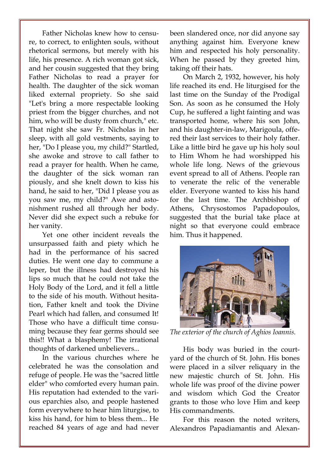Father Nicholas knew how to censure, to correct, to enlighten souls, without rhetorical sermons, but merely with his life, his presence. A rich woman got sick, and her cousin suggested that they bring Father Nicholas to read a prayer for health. The daughter of the sick woman liked external propriety. So she said "Let's bring a more respectable looking priest from the bigger churches, and not him, who will be dusty from church," etc. That night she saw Fr. Nicholas in her sleep, with all gold vestments, saying to her, "Do I please you, my child?" Startled, she awoke and strove to call father to read a prayer for health. When he came, the daughter of the sick woman ran piously, and she knelt down to kiss his hand, he said to her, "Did I please you as you saw me, my child?" Awe and astonishment rushed all through her body. Never did she expect such a rebuke for her vanity.

 Yet one other incident reveals the unsurpassed faith and piety which he had in the performance of his sacred duties. He went one day to commune a leper, but the illness had destroyed his lips so much that he could not take the Holy Body of the Lord, and it fell a little to the side of his mouth. Without hesitation, Father knelt and took the Divine Pearl which had fallen, and consumed It! Those who have a difficult time consuming because they fear germs should see this!! What a blasphemy! The irrational thoughts of darkened unbelievers...

 In the various churches where he celebrated he was the consolation and refuge of people. He was the "sacred little elder" who comforted every human pain. His reputation had extended to the various eparchies also, and people hastened form everywhere to hear him liturgise, to kiss his hand, for him to bless them... He reached 84 years of age and had never been slandered once, nor did anyone say anything against him. Everyone knew him and respected his holy personality. When he passed by they greeted him, taking off their hats.

 On March 2, 1932, however, his holy life reached its end. He liturgised for the last time on the Sunday of the Prodigal Son. As soon as he consumed the Holy Cup, he suffered a light fainting and was transported home, where his son John, and his daughter-in-law, Marigoula, offered their last services to their holy father. Like a little bird he gave up his holy soul to Him Whom he had worshipped his whole life long. News of the grievous event spread to all of Athens. People ran to venerate the relic of the venerable elder. Everyone wanted to kiss his hand for the last time. The Archbishop of Athens, Chrysostomos Papadopoulos, suggested that the burial take place at night so that everyone could embrace him. Thus it happened.



The exterior of the church of Aghios Ioannis.

 His body was buried in the courtyard of the church of St. John. His bones were placed in a silver reliquary in the new majestic church of St. John. His whole life was proof of the divine power and wisdom which God the Creator grants to those who love Him and keep His commandments.

 For this reason the noted writers, Alexandros Papadiamantis and Alexan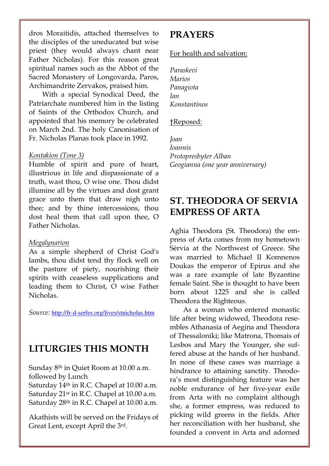dros Moraitidis, attached themselves to the disciples of the uneducated but wise priest (they would always chant near Father Nicholas). For this reason great spiritual names such as the Abbot of the Sacred Monastery of Longovarda, Paros, Archimandrite Zervakos, praised him.

 With a special Synodical Deed, the Patriarchate numbered him in the listing of Saints of the Orthodox Church, and appointed that his memory be celebrated on March 2nd. The holy Canonisation of Fr. Nicholas Planas took place in 1992.

#### Kontakion (Tone 3)

Humble of spirit and pure of heart, illustrious in life and dispassionate of a truth, wast thou, O wise one. Thou didst illumine all by the virtues and dost grant grace unto them that draw nigh unto thee; and by thine intercessions, thou dost heal them that call upon thee, O Father Nicholas.

#### Megalynarion

As a simple shepherd of Christ God's lambs, thou didst tend thy flock well on the pasture of piety, nourishing their spirits with ceaseless supplications and leading them to Christ, O wise Father Nicholas.

Source: http://fr-d-serfes.org/lives/stnicholas.htm

### LITURGIES THIS MONTH

Sunday 8th in Quiet Room at 10.00 a.m. followed by Lunch

Saturday 14<sup>th</sup> in R.C. Chapel at 10.00 a.m. Saturday 21<sup>st</sup> in R.C. Chapel at 10.00 a.m. Saturday 28<sup>th</sup> in R.C. Chapel at 10.00 a.m.

Akathists will be served on the Fridays of Great Lent, except April the 3rd.

### PRAYERS

#### For health and salvation:

Paraskevi Marios Panagiota Ian Konstantinos

#### †Reposed:

Joan Ioannis Protopresbyter Alban Geogianna (one year anniversary)

## ST. THEODORA OF SERVIA EMPRESS OF ARTA

Aghia Theodora (St. Theodora) the empress of Arta comes from my hometown Sérvia at the Northwest of Greece. She was married to Michael II Komnenos Doukas the emperor of Epirus and she was a rare example of late Byzantine female Saint. She is thought to have been born about 1225 and she is called Theodora the Righteous.

As a woman who entered monastic life after being widowed, Theodora resembles Athanasia of Aegina and Theodora of Thessaloniki; like Matrona, Thomais of Lesbos and Mary the Younger, she suffered abuse at the hands of her husband. In none of these cases was marriage a hindrance to attaining sanctity. Theodora's most distinguishing feature was her noble endurance of her five-year exile from Arta with no complaint although she, a former empress, was reduced to picking wild greens in the fields. After her reconciliation with her husband, she founded a convent in Arta and adorned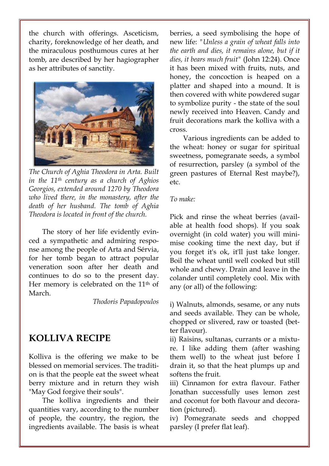the church with offerings. Asceticism, charity, foreknowledge of her death, and the miraculous posthumous cures at her tomb, are described by her hagiographer as her attributes of sanctity.



The Church of Aghia Theodora in Arta. Built in the 11th century as a church of Aghios Georgios, extended around 1270 by Theodora who lived there, in the monastery, after the death of her husband. The tomb of Aghia Theodora is located in front of the church.

The story of her life evidently evinced a sympathetic and admiring response among the people of Arta and Sérvia, for her tomb began to attract popular veneration soon after her death and continues to do so to the present day. Her memory is celebrated on the 11<sup>th</sup> of March.

Thodoris Papadopoulos

# KOLLIVA RECIPE

Kolliva is the offering we make to be blessed on memorial services. The tradition is that the people eat the sweet wheat berry mixture and in return they wish "May God forgive their souls".

The kolliva ingredients and their quantities vary, according to the number of people, the country, the region, the ingredients available. The basis is wheat berries, a seed symbolising the hope of new life: "Unless a grain of wheat falls into the earth and dies, it remains alone, but if it dies, it bears much fruit" (John 12:24). Once it has been mixed with fruits, nuts, and honey, the concoction is heaped on a platter and shaped into a mound. It is then covered with white powdered sugar to symbolize purity - the state of the soul newly received into Heaven. Candy and fruit decorations mark the kolliva with a cross.

Various ingredients can be added to the wheat: honey or sugar for spiritual sweetness, pomegranate seeds, a symbol of resurrection, parsley (a symbol of the green pastures of Eternal Rest maybe?), etc.

#### To make:

Pick and rinse the wheat berries (available at health food shops). If you soak overnight (in cold water) you will minimise cooking time the next day, but if you forget it's ok, it'll just take longer. Boil the wheat until well cooked but still whole and chewy. Drain and leave in the colander until completely cool. Mix with any (or all) of the following:

i) Walnuts, almonds, sesame, or any nuts and seeds available. They can be whole, chopped or slivered, raw or toasted (better flavour).

ii) Raisins, sultanas, currants or a mixture. I like adding them (after washing them well) to the wheat just before I drain it, so that the heat plumps up and softens the fruit.

iii) Cinnamon for extra flavour. Father Jonathan successfully uses lemon zest and coconut for both flavour and decoration (pictured).

iv) Pomegranate seeds and chopped parsley (I prefer flat leaf).